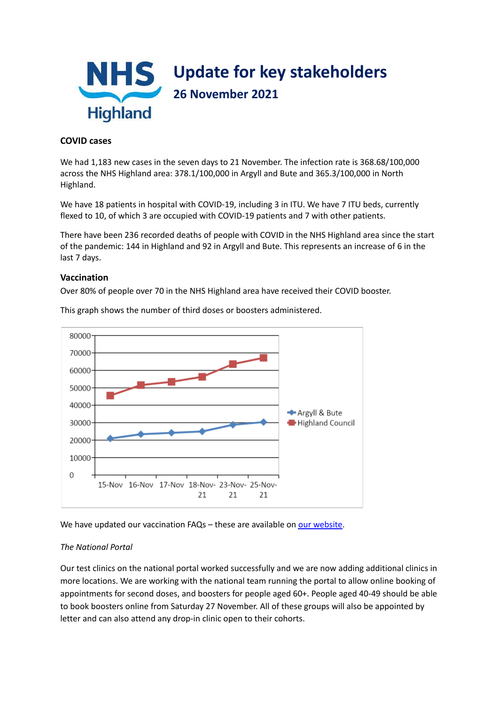

## **COVID cases**

We had 1,183 new cases in the seven days to 21 November. The infection rate is 368.68/100,000 across the NHS Highland area: 378.1/100,000 in Argyll and Bute and 365.3/100,000 in North Highland.

We have 18 patients in hospital with COVID-19, including 3 in ITU. We have 7 ITU beds, currently flexed to 10, of which 3 are occupied with COVID-19 patients and 7 with other patients.

There have been 236 recorded deaths of people with COVID in the NHS Highland area since the start of the pandemic: 144 in Highland and 92 in Argyll and Bute. This represents an increase of 6 in the last 7 days.

## **Vaccination**

Over 80% of people over 70 in the NHS Highland area have received their COVID booster.



This graph shows the number of third doses or boosters administered.

We have updated our vaccination FAQs - these are available on our [website](https://www.nhshighland.scot.nhs.uk/COVID19/Documents/FAQ%20updated%2025%20Nov%202021.pdf).

#### *The National Portal*

Our test clinics on the national portal worked successfully and we are now adding additional clinics in more locations. We are working with the national team running the portal to allow online booking of appointments for second doses, and boosters for people aged 60+. People aged 40-49 should be able to book boosters online from Saturday 27 November. All of these groups will also be appointed by letter and can also attend any drop-in clinic open to their cohorts.